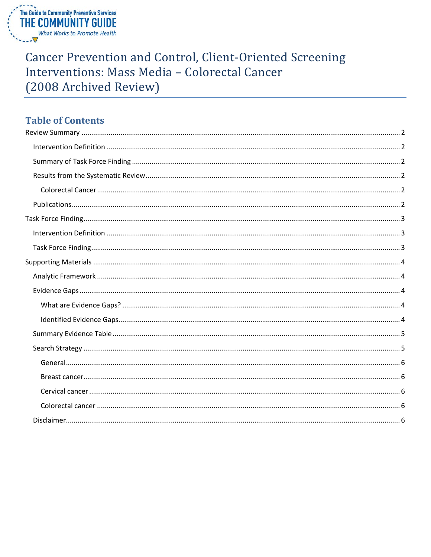

# **Cancer Prevention and Control, Client-Oriented Screening** Interventions: Mass Media - Colorectal Cancer (2008 Archived Review)

# **Table of Contents**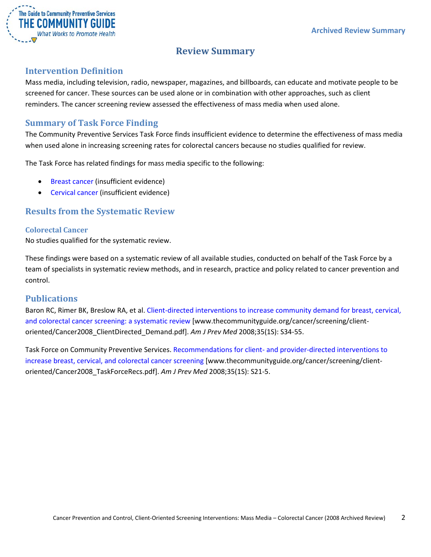

# **Review Summary**

## <span id="page-1-1"></span><span id="page-1-0"></span>**Intervention Definition**

Mass media, including television, radio, newspaper, magazines, and billboards, can educate and motivate people to be screened for cancer. These sources can be used alone or in combination with other approaches, such as client reminders. The cancer screening review assessed the effectiveness of mass media when used alone.

## <span id="page-1-2"></span>**Summary of Task Force Finding**

The Community Preventive Services Task Force finds insufficient evidence to determine the effectiveness of mass media when used alone in increasing screening rates for colorectal cancers because no studies qualified for review.

The Task Force has related findings for mass media specific to the following:

- Breast cancer (insufficient evidence)
- Cervical cancer (insufficient evidence)

## <span id="page-1-3"></span>**Results from the Systematic Review**

#### <span id="page-1-4"></span>**Colorectal Cancer**

No studies qualified for the systematic review.

These findings were based on a systematic review of all available studies, conducted on behalf of the Task Force by a team of specialists in systematic review methods, and in research, practice and policy related to cancer prevention and control.

#### <span id="page-1-5"></span>**Publications**

Baron RC, Rimer BK, Breslow RA, et al. [Client-directed interventions to increase community demand for breast, cervical,](http://www.thecommunityguide.org/cancer/screening/client-oriented/Cancer2008_ClientDirected_Demand.pdf)  [and colorectal cancer screening: a systematic review](http://www.thecommunityguide.org/cancer/screening/client-oriented/Cancer2008_ClientDirected_Demand.pdf) [www.thecommunityguide.org/cancer/screening/clientoriented/Cancer2008\_ClientDirected\_Demand.pdf]. *Am J Prev Med* 2008;35(1S): S34-55.

Task Force on Community Preventive Services. Recommendations for client- [and provider-directed interventions to](http://www.thecommunityguide.org/cancer/screening/client-oriented/Cancer2008_TaskForceRecs.pdf)  [increase breast, cervical, and colorectal cancer screening](http://www.thecommunityguide.org/cancer/screening/client-oriented/Cancer2008_TaskForceRecs.pdf) [www.thecommunityguide.org/cancer/screening/clientoriented/Cancer2008\_TaskForceRecs.pdf]. *Am J Prev Med* 2008;35(1S): S21-5.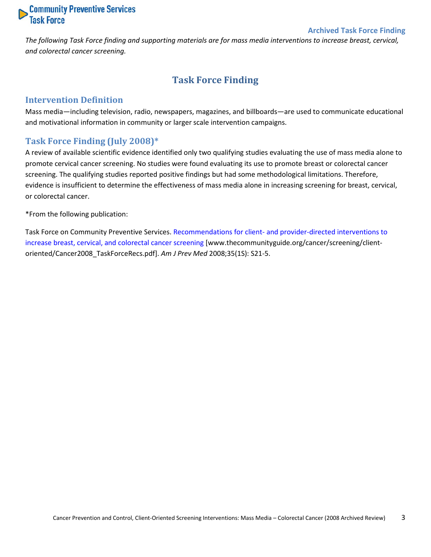# **Community Preventive Services**<br>Task Force

#### **Archived Task Force Finding**

<span id="page-2-0"></span>*The following Task Force finding and supporting materials are for mass media interventions to increase breast, cervical, and colorectal cancer screening.*

# **Task Force Finding**

### <span id="page-2-1"></span>**Intervention Definition**

Mass media—including television, radio, newspapers, magazines, and billboards—are used to communicate educational and motivational information in community or larger scale intervention campaigns.

## <span id="page-2-2"></span>**Task Force Finding (July 2008)\***

A review of available scientific evidence identified only two qualifying studies evaluating the use of mass media alone to promote cervical cancer screening. No studies were found evaluating its use to promote breast or colorectal cancer screening. The qualifying studies reported positive findings but had some methodological limitations. Therefore, evidence is insufficient to determine the effectiveness of mass media alone in increasing screening for breast, cervical, or colorectal cancer.

\*From the following publication:

Task Force on Community Preventive Services. Recommendations for client- [and provider-directed interventions to](http://www.thecommunityguide.org/cancer/screening/client-oriented/Cancer2008_TaskForceRecs.pdf)  [increase breast, cervical, and colorectal cancer screening](http://www.thecommunityguide.org/cancer/screening/client-oriented/Cancer2008_TaskForceRecs.pdf) [www.thecommunityguide.org/cancer/screening/clientoriented/Cancer2008\_TaskForceRecs.pdf]. *Am J Prev Med* 2008;35(1S): S21-5.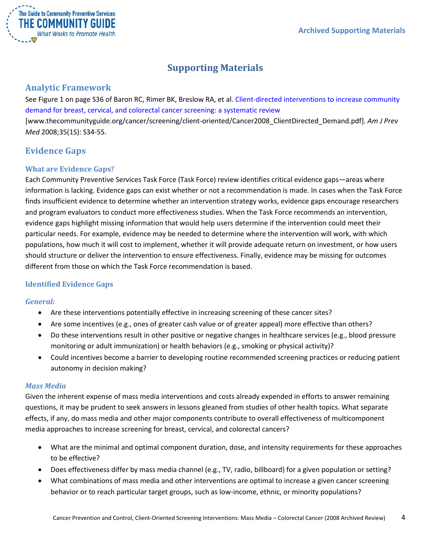

# **Supporting Materials**

## <span id="page-3-1"></span><span id="page-3-0"></span>**Analytic Framework**

See Figure 1 on page S36 of Baron RC, Rimer BK, Breslow RA, et al. [Client-directed interventions to increase community](http://www.thecommunityguide.org/cancer/screening/client-oriented/Cancer2008_ClientDirected_Demand.pdf)  [demand for breast, cervical, and colorectal cancer screening: a systematic review](http://www.thecommunityguide.org/cancer/screening/client-oriented/Cancer2008_ClientDirected_Demand.pdf) [www.thecommunityguide.org/cancer/screening/client-oriented/Cancer2008\_ClientDirected\_Demand.pdf]. *Am J Prev Med* 2008;35(1S): S34-55.

## <span id="page-3-2"></span>**Evidence Gaps**

#### <span id="page-3-3"></span>**What are Evidence Gaps?**

Each Community Preventive Services Task Force (Task Force) review identifies critical evidence gaps—areas where information is lacking. Evidence gaps can exist whether or not a recommendation is made. In cases when the Task Force finds insufficient evidence to determine whether an intervention strategy works, evidence gaps encourage researchers and program evaluators to conduct more effectiveness studies. When the Task Force recommends an intervention, evidence gaps highlight missing information that would help users determine if the intervention could meet their particular needs. For example, evidence may be needed to determine where the intervention will work, with which populations, how much it will cost to implement, whether it will provide adequate return on investment, or how users should structure or deliver the intervention to ensure effectiveness. Finally, evidence may be missing for outcomes different from those on which the Task Force recommendation is based.

## <span id="page-3-4"></span>**Identified Evidence Gaps**

#### *General:*

- Are these interventions potentially effective in increasing screening of these cancer sites?
- Are some incentives (e.g., ones of greater cash value or of greater appeal) more effective than others?
- Do these interventions result in other positive or negative changes in healthcare services (e.g., blood pressure monitoring or adult immunization) or health behaviors (e.g., smoking or physical activity)?
- Could incentives become a barrier to developing routine recommended screening practices or reducing patient autonomy in decision making?

#### *Mass Media*

Given the inherent expense of mass media interventions and costs already expended in efforts to answer remaining questions, it may be prudent to seek answers in lessons gleaned from studies of other health topics. What separate effects, if any, do mass media and other major components contribute to overall effectiveness of multicomponent media approaches to increase screening for breast, cervical, and colorectal cancers?

- What are the minimal and optimal component duration, dose, and intensity requirements for these approaches to be effective?
- Does effectiveness differ by mass media channel (e.g., TV, radio, billboard) for a given population or setting?
- What combinations of mass media and other interventions are optimal to increase a given cancer screening behavior or to reach particular target groups, such as low-income, ethnic, or minority populations?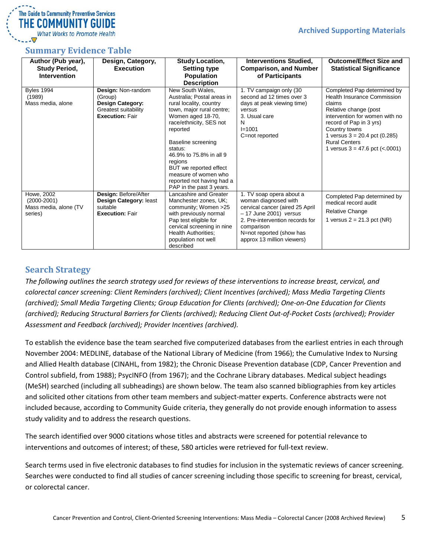## The Guide to Community Preventive Services THE COMMUNITY GUIDE **What Works to Promote Health**

## <span id="page-4-0"></span>**Summary Evidence Table**

| Author (Pub year),<br><b>Study Period,</b><br><b>Intervention</b> | Design, Category,<br><b>Execution</b>                                                                      | <b>Study Location,</b><br><b>Setting type</b><br><b>Population</b><br><b>Description</b>                                                                                                                                                                                                                                                             | <b>Interventions Studied,</b><br><b>Comparison, and Number</b><br>of Participants                                                                                                                                        | <b>Outcome/Effect Size and</b><br><b>Statistical Significance</b>                                                                                                                                                                                                                |
|-------------------------------------------------------------------|------------------------------------------------------------------------------------------------------------|------------------------------------------------------------------------------------------------------------------------------------------------------------------------------------------------------------------------------------------------------------------------------------------------------------------------------------------------------|--------------------------------------------------------------------------------------------------------------------------------------------------------------------------------------------------------------------------|----------------------------------------------------------------------------------------------------------------------------------------------------------------------------------------------------------------------------------------------------------------------------------|
| <b>Byles 1994</b><br>(1989)<br>Mass media, alone                  | Design: Non-random<br>(Group)<br><b>Design Category:</b><br>Greatest suitability<br><b>Execution: Fair</b> | New South Wales,<br>Australia: Postal areas in<br>rural locality, country<br>town, major rural centre;<br>Women aged 18-70,<br>race/ethnicity, SES not<br>reported<br>Baseline screening<br>status:<br>46.9% to 75.8% in all 9<br>regions<br>BUT we reported effect<br>measure of women who<br>reported not having had a<br>PAP in the past 3 years. | 1. TV campaign only (30<br>second ad 12 times over 3<br>days at peak viewing time)<br>versus<br>3. Usual care<br>N<br>$I = 1001$<br>C=not reported                                                                       | Completed Pap determined by<br>Health Insurance Commission<br>claims<br>Relative change (post<br>intervention for women with no<br>record of Pap in 3 yrs)<br>Country towns<br>1 versus $3 = 20.4$ pct (0.285)<br><b>Rural Centers</b><br>1 versus $3 = 47.6$ pct ( $\lt$ .0001) |
| Howe, 2002<br>$(2000 - 2001)$<br>Mass media, alone (TV<br>series) | Design: Before/After<br>Design Category: least<br>suitable<br><b>Execution: Fair</b>                       | Lancashire and Greater<br>Manchester zones, UK;<br>community; Women >25<br>with previously normal<br>Pap test eligible for<br>cervical screening in nine<br><b>Health Authorities:</b><br>population not well<br>described                                                                                                                           | 1. TV soap opera about a<br>woman diagnosed with<br>cervical cancer (aired 25 April<br>- 17 June 2001) versus<br>2. Pre-intervention records for<br>comparison<br>N=not reported (show has<br>approx 13 million viewers) | Completed Pap determined by<br>medical record audit<br><b>Relative Change</b><br>1 versus $2 = 21.3$ pct (NR)                                                                                                                                                                    |

## <span id="page-4-1"></span>**Search Strategy**

*The following outlines the search strategy used for reviews of these interventions to increase breast, cervical, and colorectal cancer screening: Client Reminders (archived); Client Incentives (archived); Mass Media Targeting Clients (archived); Small Media Targeting Clients; Group Education for Clients (archived); One-on-One Education for Clients (archived); Reducing Structural Barriers for Clients (archived); Reducing Client Out-of-Pocket Costs (archived); Provider Assessment and Feedback (archived); Provider Incentives (archived).*

To establish the evidence base the team searched five computerized databases from the earliest entries in each through November 2004: MEDLINE, database of the National Library of Medicine (from 1966); the Cumulative Index to Nursing and Allied Health database (CINAHL, from 1982); the Chronic Disease Prevention database (CDP, Cancer Prevention and Control subfield, from 1988); PsycINFO (from 1967); and the Cochrane Library databases. Medical subject headings (MeSH) searched (including all subheadings) are shown below. The team also scanned bibliographies from key articles and solicited other citations from other team members and subject-matter experts. Conference abstracts were not included because, according to Community Guide criteria, they generally do not provide enough information to assess study validity and to address the research questions.

The search identified over 9000 citations whose titles and abstracts were screened for potential relevance to interventions and outcomes of interest; of these, 580 articles were retrieved for full-text review.

Search terms used in five electronic databases to find studies for inclusion in the systematic reviews of cancer screening. Searches were conducted to find all studies of cancer screening including those specific to screening for breast, cervical, or colorectal cancer.